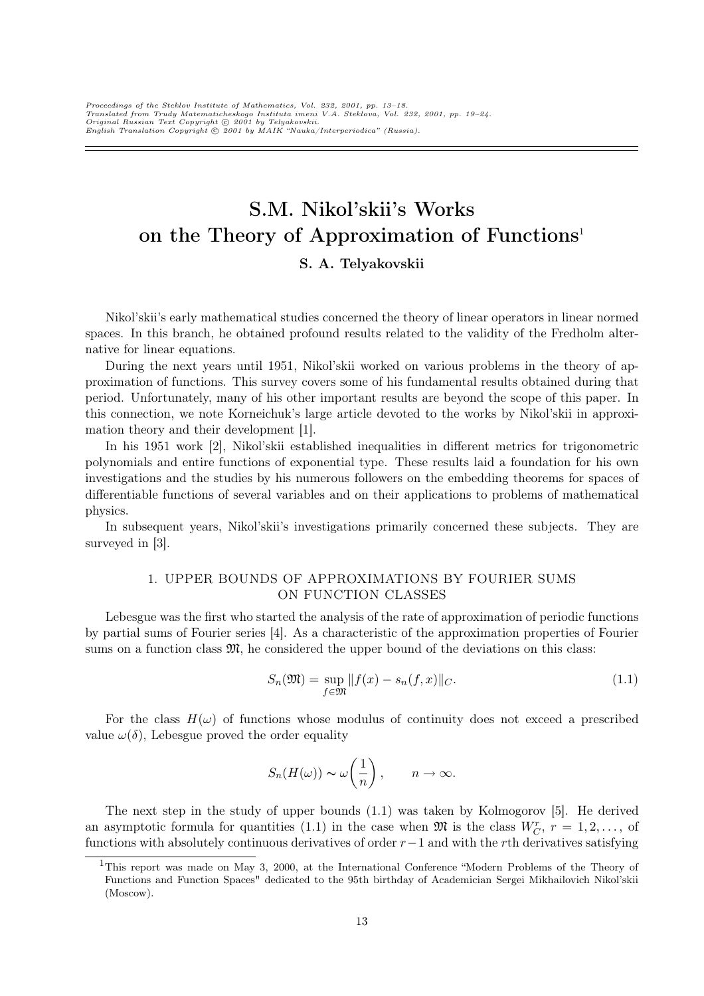Proceedings of the Steklov Institute of Mathematics, Vol. 232, 2001, pp. 13–18.<br>Translated from Trudy Matematicheskogo Instituta imeni V.A. Steklova, Vol. 232, 2001, pp. 19–24.<br>Original Russian Text Copyright © 2001 by Tel

# S.M. Nikol'skii's Works on the Theory of Approximation of Functions<sup>1</sup>

# S. A. Telyakovskii

Nikol'skii's early mathematical studies concerned the theory of linear operators in linear normed spaces. In this branch, he obtained profound results related to the validity of the Fredholm alternative for linear equations.

During the next years until 1951, Nikol'skii worked on various problems in the theory of approximation of functions. This survey covers some of his fundamental results obtained during that period. Unfortunately, many of his other important results are beyond the scope of this paper. In this connection, we note Korneichuk's large article devoted to the works by Nikol'skii in approximation theory and their development [1].

In his 1951 work [2], Nikol'skii established inequalities in different metrics for trigonometric polynomials and entire functions of exponential type. These results laid a foundation for his own investigations and the studies by his numerous followers on the embedding theorems for spaces of differentiable functions of several variables and on their applications to problems of mathematical physics.

In subsequent years, Nikol'skii's investigations primarily concerned these subjects. They are surveyed in [3].

# 1. UPPER BOUNDS OF APPROXIMATIONS BY FOURIER SUMS ON FUNCTION CLASSES

Lebesgue was the first who started the analysis of the rate of approximation of periodic functions by partial sums of Fourier series [4]. As a characteristic of the approximation properties of Fourier sums on a function class  $\mathfrak{M}$ , he considered the upper bound of the deviations on this class:

$$
S_n(\mathfrak{M}) = \sup_{f \in \mathfrak{M}} ||f(x) - s_n(f, x)||_C.
$$
\n(1.1)

For the class  $H(\omega)$  of functions whose modulus of continuity does not exceed a prescribed value  $\omega(\delta)$ , Lebesgue proved the order equality

$$
S_n(H(\omega)) \sim \omega\left(\frac{1}{n}\right), \qquad n \to \infty.
$$

The next step in the study of upper bounds (1.1) was taken by Kolmogorov [5]. He derived an asymptotic formula for quantities (1.1) in the case when  $\mathfrak{M}$  is the class  $W_C^r$ ,  $r = 1, 2, \ldots$ , of functions with absolutely continuous derivatives of order  $r-1$  and with the rth derivatives satisfying

<sup>&</sup>lt;sup>1</sup>This report was made on May 3, 2000, at the International Conference "Modern Problems of the Theory of Functions and Function Spaces" dedicated to the 95th birthday of Academician Sergei Mikhailovich Nikol'skii (Moscow).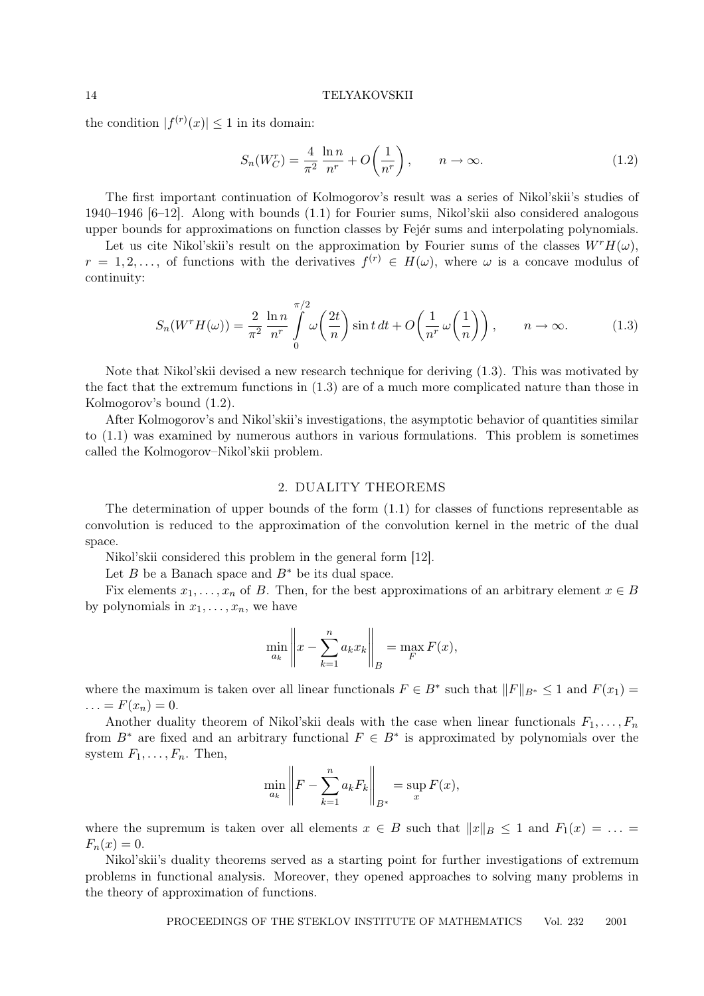the condition  $|f^{(r)}(x)| \leq 1$  in its domain:

$$
S_n(W_C^r) = \frac{4}{\pi^2} \frac{\ln n}{n^r} + O\left(\frac{1}{n^r}\right), \qquad n \to \infty.
$$
 (1.2)

The first important continuation of Kolmogorov's result was a series of Nikol'skii's studies of 1940–1946 [6–12]. Along with bounds (1.1) for Fourier sums, Nikol'skii also considered analogous upper bounds for approximations on function classes by Fejer sums and interpolating polynomials.

Let us cite Nikol'skii's result on the approximation by Fourier sums of the classes  $W^rH(\omega)$ ,  $r = 1, 2, \ldots$ , of functions with the derivatives  $f^{(r)} \in H(\omega)$ , where  $\omega$  is a concave modulus of continuity:

$$
S_n(W^r H(\omega)) = \frac{2}{\pi^2} \frac{\ln n}{n^r} \int_0^{\pi/2} \omega \left(\frac{2t}{n}\right) \sin t \, dt + O\left(\frac{1}{n^r} \omega\left(\frac{1}{n}\right)\right), \qquad n \to \infty.
$$
 (1.3)

Note that Nikol'skii devised a new research technique for deriving (1.3). This was motivated by the fact that the extremum functions in (1.3) are of a much more complicated nature than those in Kolmogorov's bound (1.2).

After Kolmogorov's and Nikol'skii's investigations, the asymptotic behavior of quantities similar to (1.1) was examined by numerous authors in various formulations. This problem is sometimes called the Kolmogorov–Nikol'skii problem.

## 2. DUALITY THEOREMS

The determination of upper bounds of the form (1.1) for classes of functions representable as convolution is reduced to the approximation of the convolution kernel in the metric of the dual space.

Nikol'skii considered this problem in the general form [12].

Let B be a Banach space and  $B^*$  be its dual space.

Fix elements  $x_1, \ldots, x_n$  of B. Then, for the best approximations of an arbitrary element  $x \in B$ by polynomials in  $x_1, \ldots, x_n$ , we have

$$
\min_{a_k} \left\| x - \sum_{k=1}^n a_k x_k \right\|_B = \max_{F} F(x),
$$

where the maximum is taken over all linear functionals  $F \in B^*$  such that  $||F||_{B^*} \leq 1$  and  $F(x_1) =$  $\ldots = F(x_n) = 0.$ 

Another duality theorem of Nikol'skii deals with the case when linear functionals  $F_1, \ldots, F_n$ from  $B^*$  are fixed and an arbitrary functional  $F \in B^*$  is approximated by polynomials over the system  $F_1, \ldots, F_n$ . Then, ° °

$$
\min_{a_k} \left\| F - \sum_{k=1}^n a_k F_k \right\|_{B^*} = \sup_x F(x),
$$

where the supremum is taken over all elements  $x \in B$  such that  $||x||_B \le 1$  and  $F_1(x) = \ldots =$  $F_n(x)=0.$ 

Nikol'skii's duality theorems served as a starting point for further investigations of extremum problems in functional analysis. Moreover, they opened approaches to solving many problems in the theory of approximation of functions.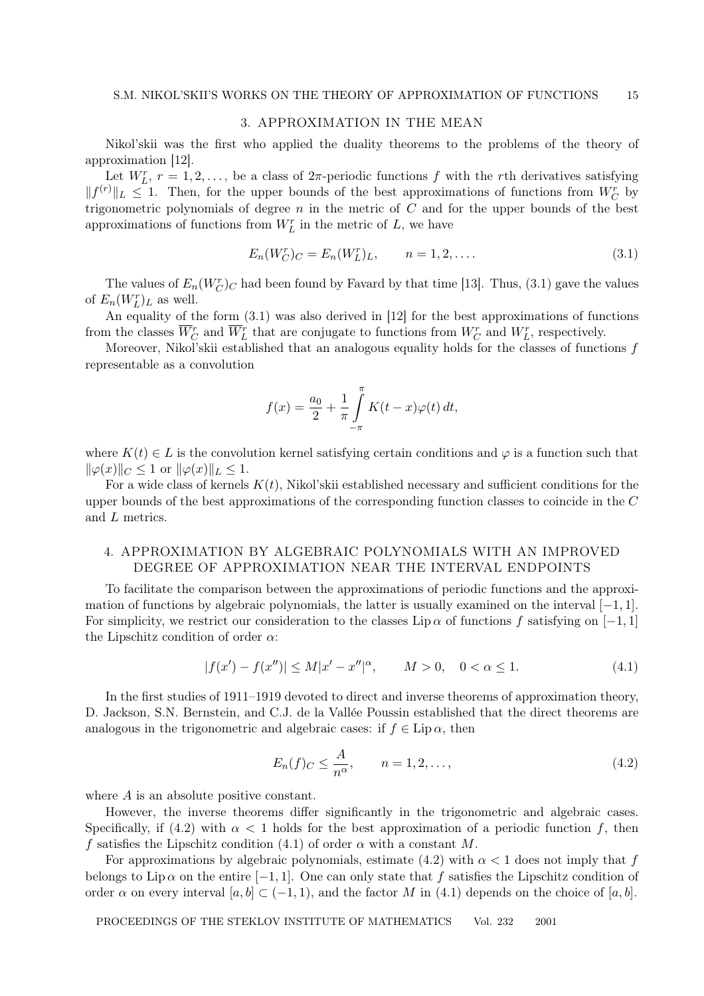## 3. APPROXIMATION IN THE MEAN

Nikol'skii was the first who applied the duality theorems to the problems of the theory of approximation [12].

Let  $W_L^r$ ,  $r = 1, 2, \ldots$ , be a class of  $2\pi$ -periodic functions f with the rth derivatives satisfying  $||f^{(r)}||_L \leq 1$ . Then, for the upper bounds of the best approximations of functions from  $W_C^r$  by trigonometric polynomials of degree  $n$  in the metric of  $C$  and for the upper bounds of the best approximations of functions from  $W_L^r$  in the metric of  $L$ , we have

$$
E_n(W_C^r)_C = E_n(W_L^r)_L, \qquad n = 1, 2, .... \tag{3.1}
$$

The values of  $E_n(W_C^r)_C$  had been found by Favard by that time [13]. Thus, (3.1) gave the values of  $E_n(W_L^r)_L$  as well.

An equality of the form (3.1) was also derived in [12] for the best approximations of functions from the classes  $\overline{W}_C^r$  and  $\overline{W}_L^r$  that are conjugate to functions from  $W_C^r$  and  $W_L^r$ , respectively.

Moreover, Nikol'skii established that an analogous equality holds for the classes of functions  $f$ representable as a convolution

$$
f(x) = \frac{a_0}{2} + \frac{1}{\pi} \int_{-\pi}^{\pi} K(t - x) \varphi(t) dt,
$$

where  $K(t) \in L$  is the convolution kernel satisfying certain conditions and  $\varphi$  is a function such that  $\|\varphi(x)\|_{C} \leq 1$  or  $\|\varphi(x)\|_{L} \leq 1$ .

For a wide class of kernels  $K(t)$ , Nikol'skii established necessary and sufficient conditions for the upper bounds of the best approximations of the corresponding function classes to coincide in the C and L metrics.

# 4. APPROXIMATION BY ALGEBRAIC POLYNOMIALS WITH AN IMPROVED DEGREE OF APPROXIMATION NEAR THE INTERVAL ENDPOINTS

To facilitate the comparison between the approximations of periodic functions and the approximation of functions by algebraic polynomials, the latter is usually examined on the interval  $[-1, 1]$ . For simplicity, we restrict our consideration to the classes Lip  $\alpha$  of functions f satisfying on [−1, 1] the Lipschitz condition of order  $\alpha$ :

$$
|f(x') - f(x'')| \le M|x' - x''|^\alpha, \qquad M > 0, \quad 0 < \alpha \le 1. \tag{4.1}
$$

In the first studies of 1911–1919 devoted to direct and inverse theorems of approximation theory, D. Jackson, S.N. Bernstein, and C.J. de la Vallée Poussin established that the direct theorems are analogous in the trigonometric and algebraic cases: if  $f \in Lip \alpha$ , then

$$
E_n(f)_C \le \frac{A}{n^{\alpha}}, \qquad n = 1, 2, \dots,
$$
\n
$$
(4.2)
$$

where A is an absolute positive constant.

However, the inverse theorems differ significantly in the trigonometric and algebraic cases. Specifically, if (4.2) with  $\alpha < 1$  holds for the best approximation of a periodic function f, then f satisfies the Lipschitz condition (4.1) of order  $\alpha$  with a constant M.

For approximations by algebraic polynomials, estimate (4.2) with  $\alpha < 1$  does not imply that f belongs to Lip  $\alpha$  on the entire [-1, 1]. One can only state that f satisfies the Lipschitz condition of order  $\alpha$  on every interval  $[a, b] \subset (-1, 1)$ , and the factor M in (4.1) depends on the choice of  $[a, b]$ .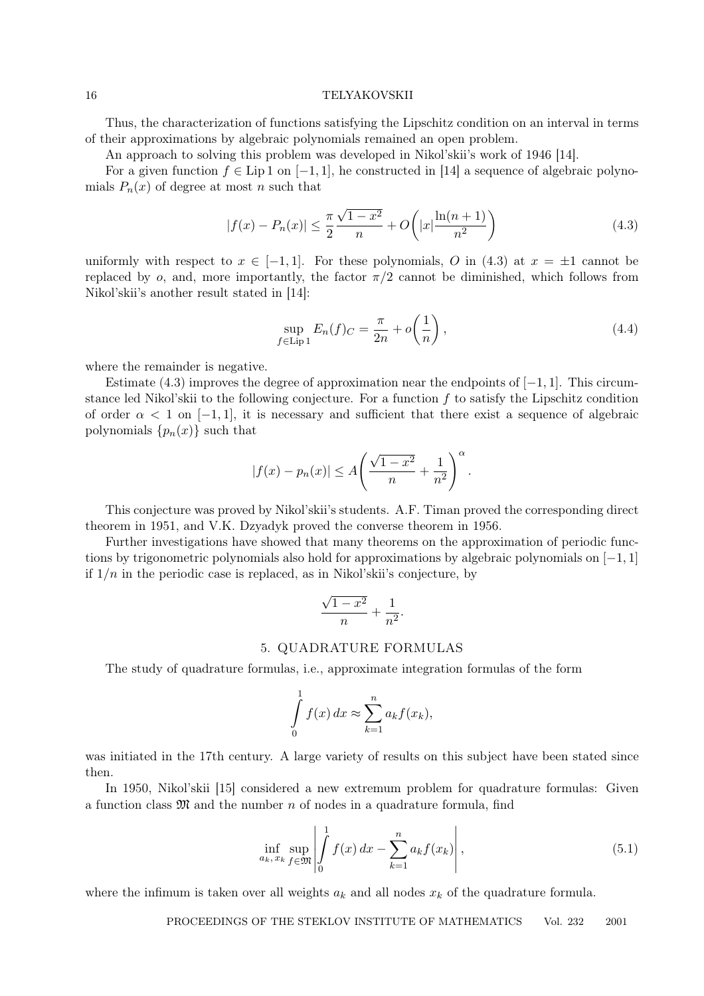#### 16 TELYAKOVSKII

Thus, the characterization of functions satisfying the Lipschitz condition on an interval in terms of their approximations by algebraic polynomials remained an open problem.

An approach to solving this problem was developed in Nikol'skii's work of 1946 [14].

For a given function  $f \in Lip 1$  on  $[-1, 1]$ , he constructed in [14] a sequence of algebraic polynomials  $P_n(x)$  of degree at most n such that

$$
|f(x) - P_n(x)| \le \frac{\pi}{2} \frac{\sqrt{1 - x^2}}{n} + O\left(|x| \frac{\ln(n+1)}{n^2}\right)
$$
\n(4.3)

uniformly with respect to  $x \in [-1, 1]$ . For these polynomials, O in (4.3) at  $x = \pm 1$  cannot be replaced by o, and, more importantly, the factor  $\pi/2$  cannot be diminished, which follows from Nikol'skii's another result stated in [14]:

$$
\sup_{f \in \text{Lip 1}} E_n(f)_C = \frac{\pi}{2n} + o\left(\frac{1}{n}\right),\tag{4.4}
$$

where the remainder is negative.

Estimate (4.3) improves the degree of approximation near the endpoints of  $[-1, 1]$ . This circumstance led Nikol'skii to the following conjecture. For a function  $f$  to satisfy the Lipschitz condition of order  $\alpha < 1$  on  $[-1, 1]$ , it is necessary and sufficient that there exist a sequence of algebraic polynomials  $\{p_n(x)\}\$ such that

$$
|f(x) - p_n(x)| \le A\left(\frac{\sqrt{1-x^2}}{n} + \frac{1}{n^2}\right)^{\alpha}.
$$

This conjecture was proved by Nikol'skii's students. A.F. Timan proved the corresponding direct theorem in 1951, and V.K. Dzyadyk proved the converse theorem in 1956.

Further investigations have showed that many theorems on the approximation of periodic functions by trigonometric polynomials also hold for approximations by algebraic polynomials on  $[-1, 1]$ if  $1/n$  in the periodic case is replaced, as in Nikol'skii's conjecture, by

$$
\frac{\sqrt{1-x^2}}{n} + \frac{1}{n^2}
$$

.

## 5. QUADRATURE FORMULAS

The study of quadrature formulas, i.e., approximate integration formulas of the form

$$
\int_{0}^{1} f(x) dx \approx \sum_{k=1}^{n} a_k f(x_k),
$$

was initiated in the 17th century. A large variety of results on this subject have been stated since then.

In 1950, Nikol'skii [15] considered a new extremum problem for quadrature formulas: Given a function class  $\mathfrak{M}$  and the number n of nodes in a quadrature formula, find

$$
\inf_{a_k, x_k} \sup_{f \in \mathfrak{M}} \left| \int_0^1 f(x) dx - \sum_{k=1}^n a_k f(x_k) \right|,
$$
\n(5.1)

where the infimum is taken over all weights  $a_k$  and all nodes  $x_k$  of the quadrature formula.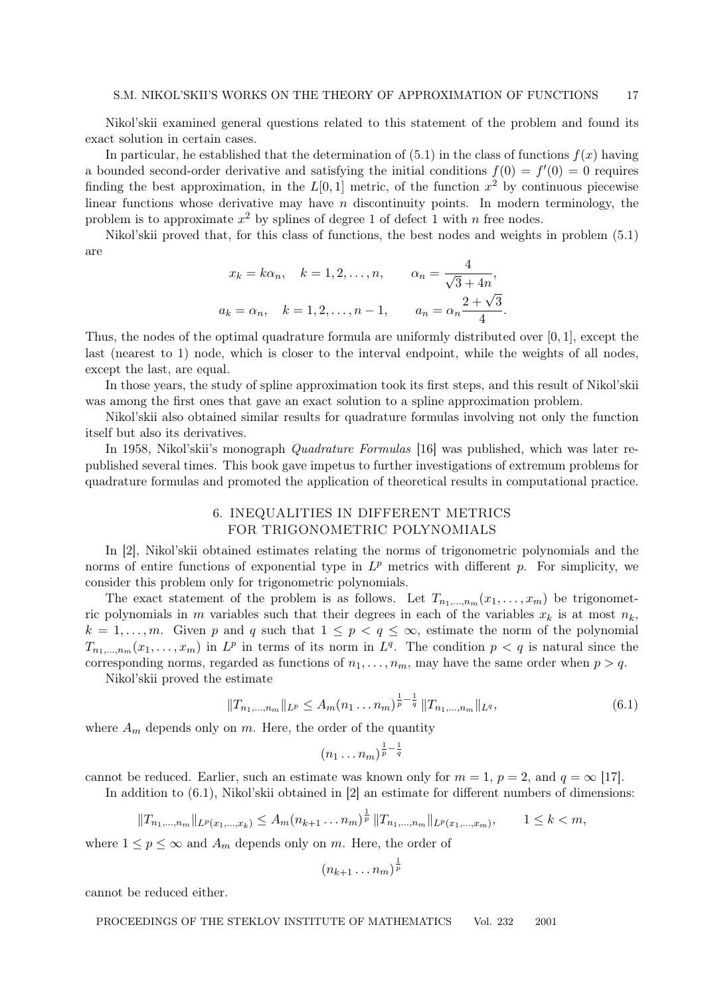Nikol'skii examined general questions related to this statement of the problem and found its exact solution in certain cases.

In particular, he established that the determination of  $(5.1)$  in the class of functions  $f(x)$  having a bounded second-order derivative and satisfying the initial conditions  $f(0) = f'(0) = 0$  requires finding the best approximation, in the  $L[0,1]$  metric, of the function  $x^2$  by continuous piecewise linear functions whose derivative may have  $n$  discontinuity points. In modern terminology, the problem is to approximate  $x^2$  by splines of degree 1 of defect 1 with n free nodes.

Nikol'skii proved that, for this class of functions, the best nodes and weights in problem (5.1) are

$$
x_k = k\alpha_n
$$
,  $k = 1, 2, ..., n$ ,  $\alpha_n = \frac{4}{\sqrt{3} + 4n}$ ,  
 $a_k = \alpha_n$ ,  $k = 1, 2, ..., n - 1$ ,  $a_n = \alpha_n \frac{2 + \sqrt{3}}{4}$ .

Thus, the nodes of the optimal quadrature formula are uniformly distributed over [0, 1], except the last (nearest to 1) node, which is closer to the interval endpoint, while the weights of all nodes, except the last, are equal.

In those years, the study of spline approximation took its first steps, and this result of Nikol'skii was among the first ones that gave an exact solution to a spline approximation problem.

Nikol'skii also obtained similar results for quadrature formulas involving not only the function itself but also its derivatives.

In 1958, Nikol'skii's monograph Quadrature Formulas [16] was published, which was later republished several times. This book gave impetus to further investigations of extremum problems for quadrature formulas and promoted the application of theoretical results in computational practice.

# 6. INEQUALITIES IN DIFFERENT METRICS FOR TRIGONOMETRIC POLYNOMIALS

In [2], Nikol'skii obtained estimates relating the norms of trigonometric polynomials and the norms of entire functions of exponential type in  $L^p$  metrics with different p. For simplicity, we consider this problem only for trigonometric polynomials.

The exact statement of the problem is as follows. Let  $T_{n_1,\dots,n_m}(x_1,\dots,x_m)$  be trigonometric polynomials in m variables such that their degrees in each of the variables  $x_k$  is at most  $n_k$ ,  $k = 1, \ldots, m$ . Given p and q such that  $1 \le p < q \le \infty$ , estimate the norm of the polynomial  $T_{n_1,\dots,n_m}(x_1,\dots,x_m)$  in  $L^p$  in terms of its norm in  $L^q$ . The condition  $p < q$  is natural since the corresponding norms, regarded as functions of  $n_1, \ldots, n_m$ , may have the same order when  $p > q$ .

Nikol'skii proved the estimate

$$
||T_{n_1,\dots,n_m}||_{L^p} \le A_m(n_1\dots n_m)^{\frac{1}{p}-\frac{1}{q}} ||T_{n_1,\dots,n_m}||_{L^q},\tag{6.1}
$$

where  $A_m$  depends only on m. Here, the order of the quantity

$$
(n_1 \ldots n_m)^{\frac{1}{p}-\frac{1}{q}}
$$

cannot be reduced. Earlier, such an estimate was known only for  $m = 1$ ,  $p = 2$ , and  $q = \infty$  [17]. In addition to  $(6.1)$ , Nikol'skii obtained in [2] an estimate for different numbers of dimensions:

 $||T_{n_1,...,n_m}||_{L^p(x_1,...,x_k)} \leq A_m(n_{k+1}...n_m)^{\frac{1}{p}} ||T_{n_1,...,n_m}||_{L^p(x_1,...,x_m)},$   $1 \leq k < m$ ,

where  $1 \le p \le \infty$  and  $A_m$  depends only on m. Here, the order of

$$
(n_{k+1}\ldots n_m)^{\frac{1}{p}}
$$

cannot be reduced either.

PROCEEDINGS OF THE STEKLOV INSTITUTE OF MATHEMATICS Vol. 232 2001